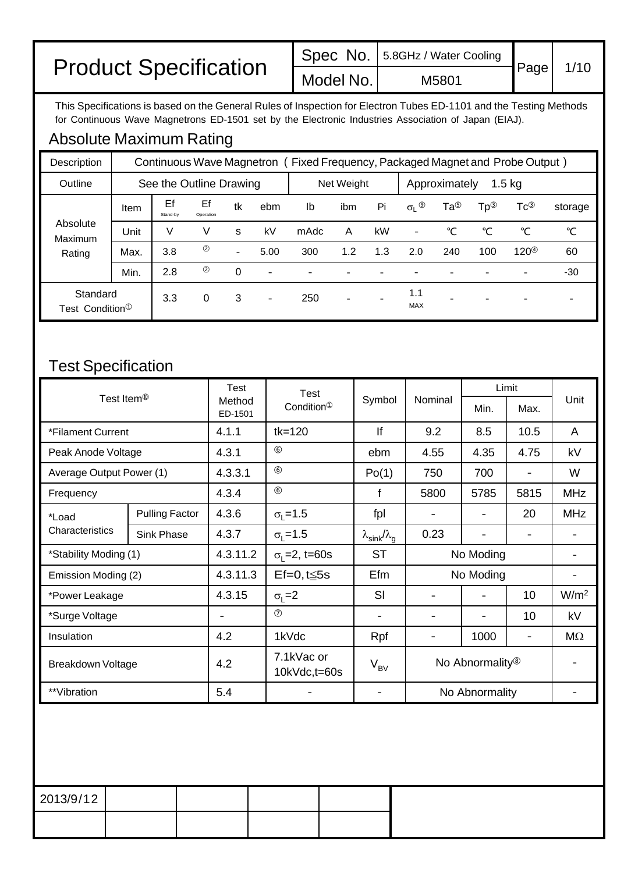|                              |           | Spec No. 5.8GHz / Water Cooling |             |      |
|------------------------------|-----------|---------------------------------|-------------|------|
| <b>Product Specification</b> | Model No. | M5801                           | <b>Page</b> | 1/10 |

This Specifications is based on the General Rules of Inspection for Electron Tubes ED-1101 and the Testing Methods for Continuous Wave Magnetrons ED-1501 set by the Electronic Industries Association of Japan (EIAJ).

## Absolute Maximum Rating

| Description                               |      |                |                         |                          |                          | Continuous Wave Magnetron (Fixed Frequency, Packaged Magnet and Probe Output) |                          |     |                           |                 |     |                   |         |
|-------------------------------------------|------|----------------|-------------------------|--------------------------|--------------------------|-------------------------------------------------------------------------------|--------------------------|-----|---------------------------|-----------------|-----|-------------------|---------|
| Outline                                   |      |                | See the Outline Drawing |                          |                          |                                                                               | Net Weight               |     | $1.5$ kg<br>Approximately |                 |     |                   |         |
|                                           | Item | Ef<br>Stand-by | Ef<br>Operation         | tk                       | ebm                      | lb                                                                            | ibm                      | Pi  | $\sigma_L$ <sup>(9)</sup> | Ta <sup>®</sup> | Тр® | $Tc^{\circledS}$  | storage |
| Absolute<br>Maximum                       | Unit | V              | V                       | S                        | kV                       | mAdc                                                                          | A                        | kW  | -                         | ℃               | °C  | °C                | ℃       |
| Rating                                    | Max. | 3.8            | ②                       | $\overline{\phantom{0}}$ | 5.00                     | 300                                                                           | 1.2                      | 1.3 | 2.0                       | 240             | 100 | $120^{\circledR}$ | 60      |
|                                           | Min. | 2.8            | ②                       | $\Omega$                 | $\overline{a}$           |                                                                               |                          |     |                           |                 |     |                   | $-30$   |
| Standard<br>Test Condition <sup>(1)</sup> |      | 3.3            | 0                       | 3                        | $\overline{\phantom{a}}$ | 250                                                                           | $\overline{\phantom{a}}$ |     | 1.1<br><b>MAX</b>         |                 |     |                   |         |

## Test Specification

|                          |                       | <b>Test</b>       | <b>Test</b>                  |                                      |         |                             | Limit                    |                  |
|--------------------------|-----------------------|-------------------|------------------------------|--------------------------------------|---------|-----------------------------|--------------------------|------------------|
| Test Item <sup>®</sup>   |                       | Method<br>ED-1501 | Condition <sup>1</sup>       | Symbol                               | Nominal | Min.                        | Max.                     | Unit             |
| *Filament Current        |                       | 4.1.1             | $tk = 120$                   | If                                   | 9.2     | 8.5                         | 10.5                     | A                |
| Peak Anode Voltage       |                       | 4.3.1             | $\circledcirc$               | ebm                                  | 4.55    | 4.35                        | 4.75                     | kV               |
| Average Output Power (1) |                       | 4.3.3.1           | $\circledcirc$               | Po(1)                                | 750     | 700                         |                          | W                |
| Frequency                |                       | 4.3.4             | (6)                          | f                                    | 5800    | 5785                        | 5815                     | <b>MHz</b>       |
| *Load                    | <b>Pulling Factor</b> | 4.3.6             | $\sigma_1 = 1.5$             | fpl                                  |         |                             | 20                       | <b>MHz</b>       |
| Characteristics          | Sink Phase            | 4.3.7             | $\sigma_{1} = 1.5$           | $\lambda_{\sf sink}/\lambda_{\sf q}$ | 0.23    |                             |                          |                  |
| *Stability Moding (1)    |                       | 4.3.11.2          | $\sigma_1 = 2$ , t=60s       | <b>ST</b>                            |         | No Moding                   |                          |                  |
| Emission Moding (2)      |                       | 4.3.11.3          | $Ef=0, t \leq 5s$            | Efm                                  |         | No Moding                   |                          |                  |
| *Power Leakage           |                       | 4.3.15            | $\sigma_{\rm I} = 2$         | SI                                   |         |                             | 10                       | W/m <sup>2</sup> |
| *Surge Voltage           |                       | $\qquad \qquad$   | $\circledcirc$               | $\overline{\phantom{a}}$             |         |                             | 10                       | kV               |
| Insulation               |                       | 4.2               | 1kVdc                        | Rpf                                  | ۰       | 1000                        | $\overline{\phantom{a}}$ | $M\Omega$        |
| Breakdown Voltage        |                       | 4.2               | 7.1kVac or<br>$10kVdc,t=60s$ | $V_{BV}$                             |         | No Abnormality <sup>®</sup> |                          |                  |
| **Vibration              |                       | 5.4               |                              |                                      |         | No Abnormality              |                          |                  |

| 2013/9/12 |  |  |
|-----------|--|--|
|           |  |  |